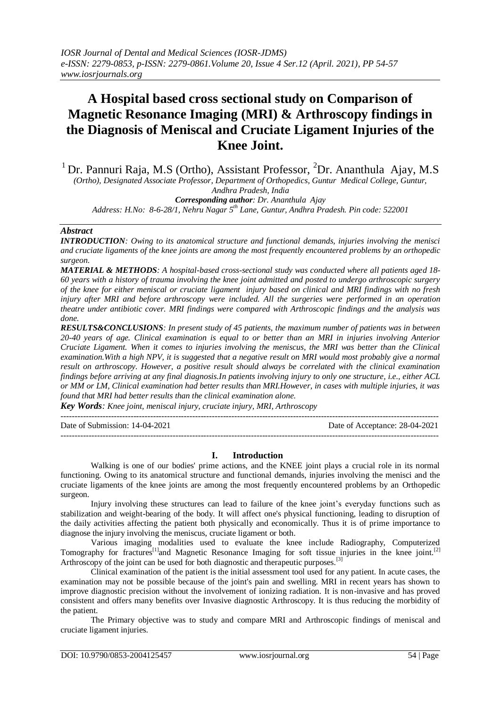# **A Hospital based cross sectional study on Comparison of Magnetic Resonance Imaging (MRI) & Arthroscopy findings in the Diagnosis of Meniscal and Cruciate Ligament Injuries of the Knee Joint.**

<sup>1</sup> Dr. Pannuri Raja, M.S (Ortho), Assistant Professor, <sup>2</sup>Dr. Ananthula Ajay, M.S *(Ortho), Designated Associate Professor, Department of Orthopedics, Guntur Medical College, Guntur, Andhra Pradesh, India Corresponding author: Dr. Ananthula Ajay*

*Address: H.No: 8-6-28/1, Nehru Nagar 5th Lane, Guntur, Andhra Pradesh. Pin code: 522001*

## *Abstract*

*INTRODUCTION: Owing to its anatomical structure and functional demands, injuries involving the menisci and cruciate ligaments of the knee joints are among the most frequently encountered problems by an orthopedic surgeon.*

*MATERIAL & METHODS: A hospital-based cross-sectional study was conducted where all patients aged 18- 60 years with a history of trauma involving the knee joint admitted and posted to undergo arthroscopic surgery of the knee for either meniscal or cruciate ligament injury based on clinical and MRI findings with no fresh injury after MRI and before arthroscopy were included. All the surgeries were performed in an operation theatre under antibiotic cover. MRI findings were compared with Arthroscopic findings and the analysis was done.*

*RESULTS&CONCLUSIONS: In present study of 45 patients, the maximum number of patients was in between 20-40 years of age. Clinical examination is equal to or better than an MRI in injuries involving Anterior Cruciate Ligament. When it comes to injuries involving the meniscus, the MRI was better than the Clinical examination.With a high NPV, it is suggested that a negative result on MRI would most probably give a normal result on arthroscopy. However, a positive result should always be correlated with the clinical examination findings before arriving at any final diagnosis.In patients involving injury to only one structure, i.e., either ACL or MM or LM, Clinical examination had better results than MRI.However, in cases with multiple injuries, it was found that MRI had better results than the clinical examination alone.*

*Key Words: Knee joint, meniscal injury, cruciate injury, MRI, Arthroscopy*

--------------------------------------------------------------------------------------------------------------------------------------- Date of Submission: 14-04-2021 Date of Acceptance: 28-04-2021 ---------------------------------------------------------------------------------------------------------------------------------------

## **I. Introduction**

Walking is one of our bodies' prime actions, and the KNEE joint plays a crucial role in its normal functioning. Owing to its anatomical structure and functional demands, injuries involving the menisci and the cruciate ligaments of the knee joints are among the most frequently encountered problems by an Orthopedic surgeon.

Injury involving these structures can lead to failure of the knee joint's everyday functions such as stabilization and weight-bearing of the body. It will affect one's physical functioning, leading to disruption of the daily activities affecting the patient both physically and economically. Thus it is of prime importance to diagnose the injury involving the meniscus, cruciate ligament or both.

Various imaging modalities used to evaluate the knee include Radiography, Computerized Tomography for fractures<sup>[1]</sup>and Magnetic Resonance Imaging for soft tissue injuries in the knee joint.<sup>[2]</sup> Arthroscopy of the joint can be used for both diagnostic and therapeutic purposes.<sup>[3]</sup>

Clinical examination of the patient is the initial assessment tool used for any patient. In acute cases, the examination may not be possible because of the joint's pain and swelling. MRI in recent years has shown to improve diagnostic precision without the involvement of ionizing radiation. It is non-invasive and has proved consistent and offers many benefits over Invasive diagnostic Arthroscopy. It is thus reducing the morbidity of the patient.

The Primary objective was to study and compare MRI and Arthroscopic findings of meniscal and cruciate ligament injuries.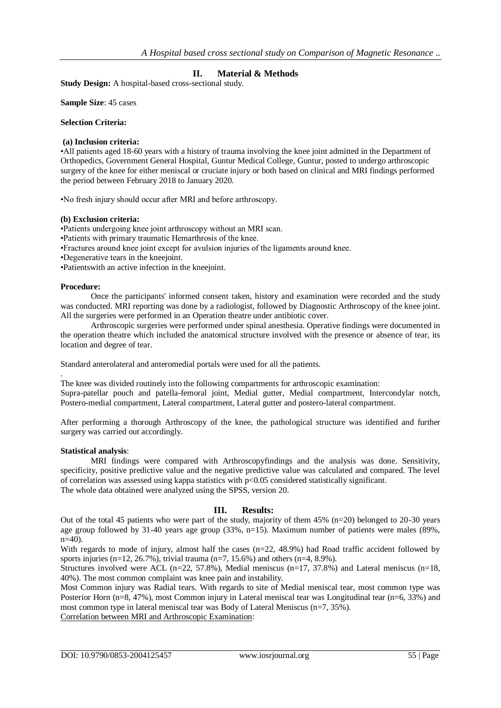# **II. Material & Methods**

**Study Design:** A hospital-based cross-sectional study.

**Sample Size**: 45 cases

## **Selection Criteria:**

## **(a) Inclusion criteria:**

•All patients aged 18-60 years with a history of trauma involving the knee joint admitted in the Department of Orthopedics, Government General Hospital, Guntur Medical College, Guntur, posted to undergo arthroscopic surgery of the knee for either meniscal or cruciate injury or both based on clinical and MRI findings performed the period between February 2018 to January 2020.

•No fresh injury should occur after MRI and before arthroscopy.

### **(b) Exclusion criteria:**

•Patients undergoing knee joint arthroscopy without an MRI scan.

•Patients with primary traumatic Hemarthrosis of the knee.

•Fractures around knee joint except for avulsion injuries of the ligaments around knee.

•Degenerative tears in the kneejoint.

•Patientswith an active infection in the kneejoint.

## **Procedure:**

.

Once the participants' informed consent taken, history and examination were recorded and the study was conducted. MRI reporting was done by a radiologist, followed by Diagnostic Arthroscopy of the knee joint. All the surgeries were performed in an Operation theatre under antibiotic cover.

Arthroscopic surgeries were performed under spinal anesthesia. Operative findings were documented in the operation theatre which included the anatomical structure involved with the presence or absence of tear, its location and degree of tear.

Standard anterolateral and anteromedial portals were used for all the patients.

The knee was divided routinely into the following compartments for arthroscopic examination: Supra-patellar pouch and patella-femoral joint, Medial gutter, Medial compartment, Intercondylar notch, Postero-medial compartment, Lateral compartment, Lateral gutter and postero-lateral compartment.

After performing a thorough Arthroscopy of the knee, the pathological structure was identified and further surgery was carried out accordingly.

#### **Statistical analysis**:

MRI findings were compared with Arthroscopyfindings and the analysis was done. Sensitivity, specificity, positive predictive value and the negative predictive value was calculated and compared. The level of correlation was assessed using kappa statistics with p<0.05 considered statistically significant. The whole data obtained were analyzed using the SPSS, version 20.

## **III. Results:**

Out of the total 45 patients who were part of the study, majority of them 45% (n=20) belonged to 20-30 years age group followed by 31-40 years age group (33%, n=15). Maximum number of patients were males (89%, n=40).

With regards to mode of injury, almost half the cases (n=22, 48.9%) had Road traffic accident followed by sports injuries (n=12, 26.7%), trivial trauma (n=7, 15.6%) and others (n=4, 8.9%).

Structures involved were ACL (n=22, 57.8%), Medial meniscus (n=17, 37.8%) and Lateral meniscus (n=18, 40%). The most common complaint was knee pain and instability.

Most Common injury was Radial tears. With regards to site of Medial meniscal tear, most common type was Posterior Horn (n=8, 47%), most Common injury in Lateral meniscal tear was Longitudinal tear (n=6, 33%) and most common type in lateral meniscal tear was Body of Lateral Meniscus (n=7, 35%).

Correlation between MRI and Arthroscopic Examination: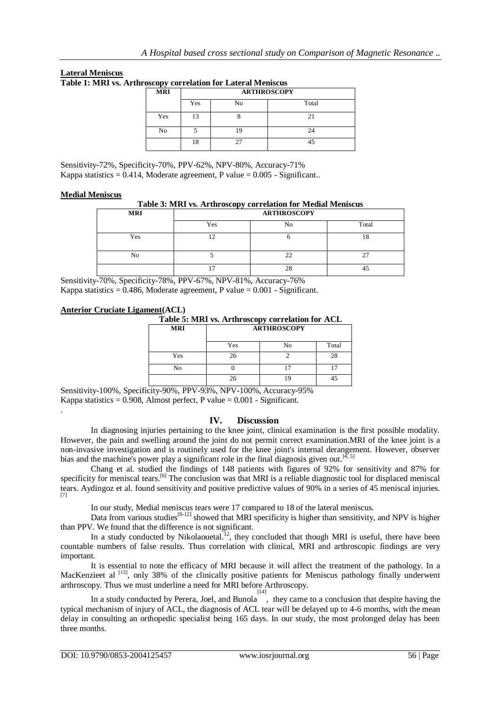**Lateral Meniscus**

**Table 1: MRI vs. Arthroscopy correlation for Lateral Meniscus**

| 1 v<br><b>MRI</b> | <b>ARTHROSCOPY</b> |    |       |  |
|-------------------|--------------------|----|-------|--|
|                   | Yes                | No | Total |  |
| Yes               | 13                 |    |       |  |
| No                |                    | חו | 24    |  |
|                   | 18                 |    | 45    |  |

Sensitivity-72%, Specificity-70%, PPV-62%, NPV-80%, Accuracy-71% Kappa statistics =  $0.414$ , Moderate agreement, P value =  $0.005$  - Significant..

## **Medial Meniscus**

.

|  | Table 3: MRI vs. Arthroscopy correlation for Medial Meniscus |  |  |
|--|--------------------------------------------------------------|--|--|
|  |                                                              |  |  |

| <b>MRI</b> | --<br><b>ARTHROSCOPY</b> |    |               |  |
|------------|--------------------------|----|---------------|--|
|            | Yes                      | No | Total         |  |
| Yes        | ר ו<br>∸                 |    | 1 O<br>10     |  |
| No         |                          | ∸  | $\sim$<br>ر گ |  |
|            | -                        | 28 |               |  |

Sensitivity-70%, Specificity-78%, PPV-67%, NPV-81%, Accuracy-76% Kappa statistics =  $0.486$ , Moderate agreement, P value =  $0.001$  - Significant.

# **Anterior Cruciate Ligament(ACL)**

**Table 5: MRI vs. Arthroscopy correlation for ACL**

| <b>MRI</b> | . .<br><b>ARTHROSCOPY</b> |    |       |  |
|------------|---------------------------|----|-------|--|
|            | Yes                       | No | Total |  |
| Yes        | 26                        |    | 28    |  |
| No         |                           |    | 17    |  |
|            | 26                        | 19 | 45    |  |

Sensitivity-100%, Specificity-90%, PPV-93%, NPV-100%, Accuracy-95% Kappa statistics =  $0.908$ , Almost perfect, P value =  $0.001$  - Significant.

# **IV. Discussion**

In diagnosing injuries pertaining to the knee joint, clinical examination is the first possible modality. However, the pain and swelling around the joint do not permit correct examination.MRI of the knee joint is a non-invasive investigation and is routinely used for the knee joint's internal derangement. However, observer bias and the machine's power play a significant role in the final diagnosis given out.<sup>[4, 5]</sup>

Chang et al. studied the findings of 148 patients with figures of 92% for sensitivity and 87% for specificity for meniscal tears.<sup>[6]</sup> The conclusion was that MRI is a reliable diagnostic tool for displaced meniscal tears. Aydingoz et al. found sensitivity and positive predictive values of 90% in a series of 45 meniscal injuries. [7]

In our study, Medial meniscus tears were 17 compared to 18 of the lateral meniscus.

Data from various studies<sup>[8-12]</sup> showed that MRI specificity is higher than sensitivity, and NPV is higher than PPV. We found that the difference is not significant.

In a study conducted by Nikolaouetal.<sup>12</sup>, they concluded that though MRI is useful, there have been countable numbers of false results. Thus correlation with clinical, MRI and arthroscopic findings are very important.

It is essential to note the efficacy of MRI because it will affect the treatment of the pathology. In a MacKenzieet al <sup>[13]</sup>, only 38% of the clinically positive patients for Meniscus pathology finally underwent arthroscopy. Thus we must underline a need for MRI before Arthroscopy.

IIA a study conducted by Perera, Joel, and Bunola filed the value to a conclusion that despite having the typical mechanism of injury of ACL, the diagnosis of ACL tear will be delayed up to 4-6 months, with the mean delay in consulting an orthopedic specialist being 165 days. In our study, the most prolonged delay has been three months.